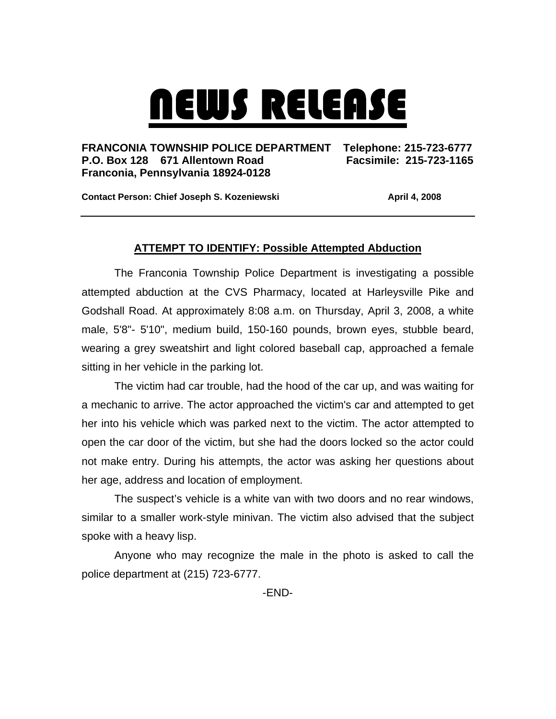## NEWS RELEASE

## **FRANCONIA TOWNSHIP POLICE DEPARTMENT Telephone: 215-723-6777 P.O. Box 128 671 Allentown Road Facsimile: 215-723-1165 Franconia, Pennsylvania 18924-0128**

**Contact Person: Chief Joseph S. Kozeniewski <b>April 4, 2008 April 4, 2008** 

## **ATTEMPT TO IDENTIFY: Possible Attempted Abduction**

The Franconia Township Police Department is investigating a possible attempted abduction at the CVS Pharmacy, located at Harleysville Pike and Godshall Road. At approximately 8:08 a.m. on Thursday, April 3, 2008, a white male, 5'8"- 5'10", medium build, 150-160 pounds, brown eyes, stubble beard, wearing a grey sweatshirt and light colored baseball cap, approached a female sitting in her vehicle in the parking lot.

The victim had car trouble, had the hood of the car up, and was waiting for a mechanic to arrive. The actor approached the victim's car and attempted to get her into his vehicle which was parked next to the victim. The actor attempted to open the car door of the victim, but she had the doors locked so the actor could not make entry. During his attempts, the actor was asking her questions about her age, address and location of employment.

The suspect's vehicle is a white van with two doors and no rear windows, similar to a smaller work-style minivan. The victim also advised that the subject spoke with a heavy lisp.

Anyone who may recognize the male in the photo is asked to call the police department at (215) 723-6777.

-END-